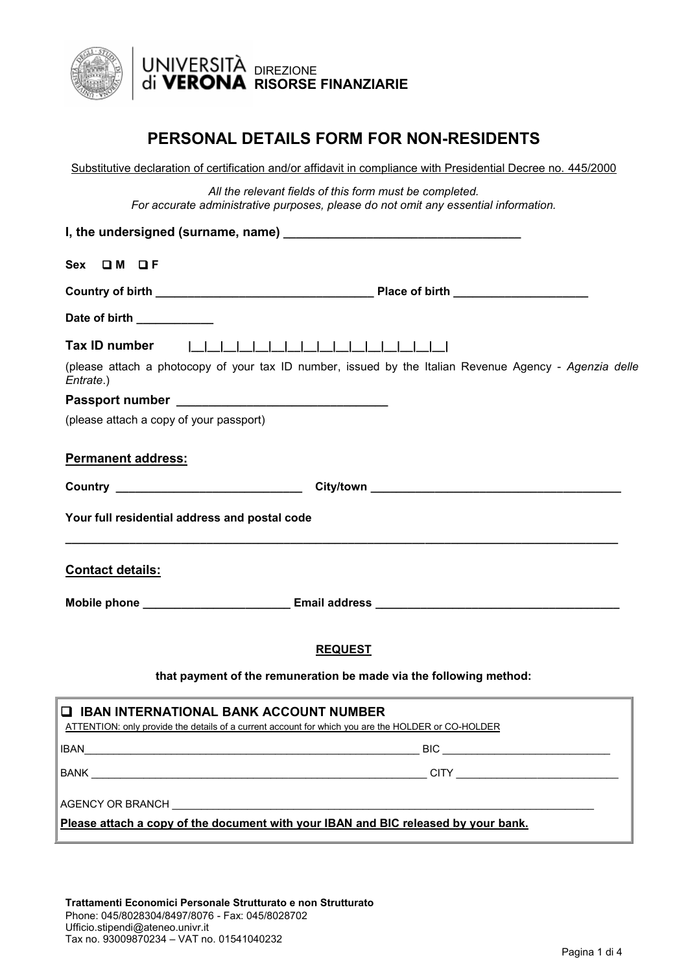

## **PERSONAL DETAILS FORM FOR NON-RESIDENTS**

Substitutive declaration of certification and/or affidavit in compliance with Presidential Decree no. 445/2000

*All the relevant fields of this form must be completed. For accurate administrative purposes, please do not omit any essential information.*

| $Sex$ $\Box M$ $\Box F$                                                                                                                               |
|-------------------------------------------------------------------------------------------------------------------------------------------------------|
|                                                                                                                                                       |
| Date of birth ___________                                                                                                                             |
| Tax ID number                                                                                                                                         |
| (please attach a photocopy of your tax ID number, issued by the Italian Revenue Agency - Agenzia delle<br>Entrate.)                                   |
|                                                                                                                                                       |
| (please attach a copy of your passport)                                                                                                               |
| <b>Permanent address:</b>                                                                                                                             |
|                                                                                                                                                       |
| Your full residential address and postal code                                                                                                         |
| <b>Contact details:</b>                                                                                                                               |
|                                                                                                                                                       |
| <b>REQUEST</b><br>that payment of the remuneration be made via the following method:                                                                  |
|                                                                                                                                                       |
| <b>Q IBAN INTERNATIONAL BANK ACCOUNT NUMBER</b><br>ATTENTION: only provide the details of a current account for which you are the HOLDER or CO-HOLDER |
| <b>IBAN</b><br>$\qquad \qquad \text{BIC} \qquad \qquad \text{BIC}$                                                                                    |
| <u> 1989 - Johann Stein, marwolaethau a bhann an t-Amhain an t-Amhain an t-Amhain an t-Amhain an t-Amhain an t-A</u>                                  |
| Please attach a copy of the document with your IBAN and BIC released by your bank.                                                                    |

**Trattamenti Economici Personale Strutturato e non Strutturato** Phone: 045/8028304/8497/8076 - Fax: 045/8028702 Ufficio.stipendi@ateneo.univr.it Tax no. 93009870234 – VAT no. 01541040232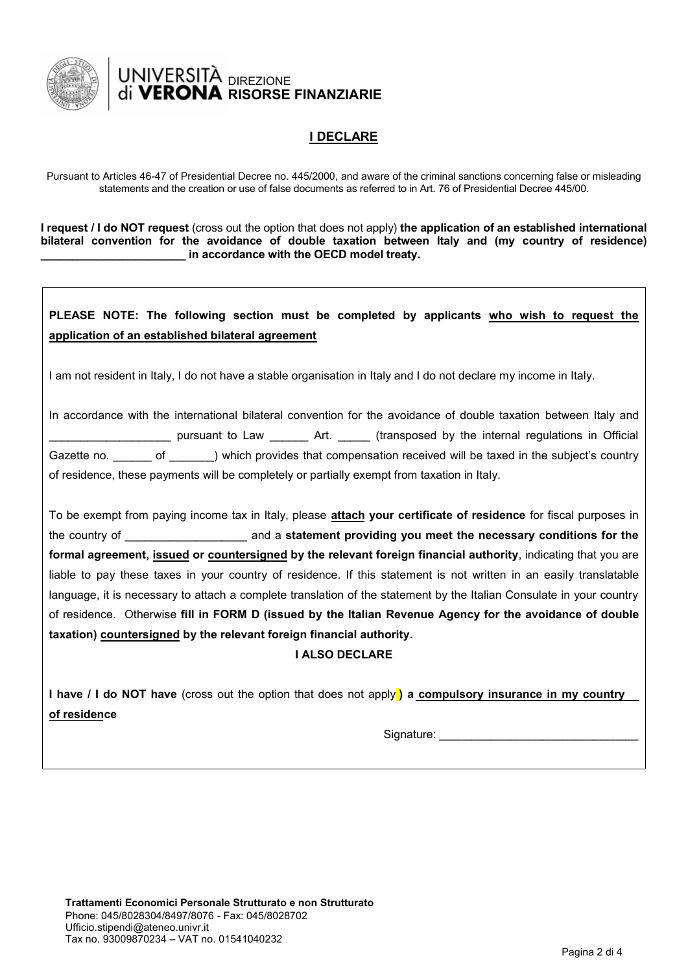

# UNIVERSITÀ <sub>DIREZIONE</sub> **FRONA RISORSE FINANZIARIE**

## **I DECLARE**

Pursuant to Articles 46-47 of Presidential Decree no. 445/2000, and aware of the criminal sanctions concerning false or misleading statements and the creation or use of false documents as referred to in Art. 76 of Presidential Decree 445/00.

**I request / I do NOT request** (cross out the option that does not apply) **the application of an established international bilateral convention for the avoidance of double taxation between Italy and (my country of residence) \_\_\_\_\_\_\_\_\_\_\_\_\_\_\_\_\_\_\_\_\_\_\_ in accordance with the OECD model treaty.** 

## **PLEASE NOTE: The following section must be completed by applicants who wish to request the application of an established bilateral agreement**

I am not resident in Italy, I do not have a stable organisation in Italy and I do not declare my income in Italy.

In accordance with the international bilateral convention for the avoidance of double taxation between Italy and \_\_\_\_\_\_\_\_\_\_\_\_\_\_\_\_\_\_\_ pursuant to Law \_\_\_\_\_\_ Art. \_\_\_\_\_ (transposed by the internal regulations in Official Gazette no. \_\_\_\_\_\_ of \_\_\_\_\_\_) which provides that compensation received will be taxed in the subject's country of residence, these payments will be completely or partially exempt from taxation in Italy.

To be exempt from paying income tax in Italy, please **attach your certificate of residence** for fiscal purposes in the country of \_\_\_\_\_\_\_\_\_\_\_\_\_\_\_\_\_\_\_ and a **statement providing you meet the necessary conditions for the formal agreement, issued or countersigned by the relevant foreign financial authority**, indicating that you are liable to pay these taxes in your country of residence. If this statement is not written in an easily translatable language, it is necessary to attach a complete translation of the statement by the Italian Consulate in your country of residence. Otherwise **fill in FORM D (issued by the Italian Revenue Agency for the avoidance of double taxation) countersigned by the relevant foreign financial authority.**

#### **I ALSO DECLARE**

**I have / I do NOT have** (cross out the option that does not apply **) a compulsory insurance in my country of residence** 

Signature: \_\_\_\_\_\_\_\_\_\_\_\_\_\_\_\_\_\_\_\_\_\_\_\_\_\_\_\_\_\_\_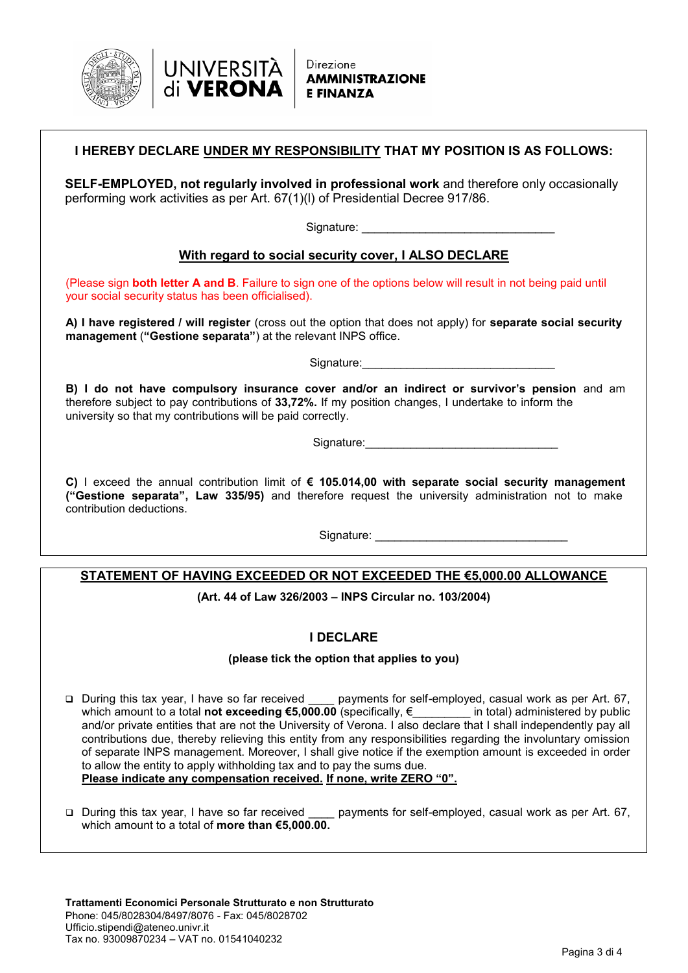



| I HEREBY DECLARE UNDER MY RESPONSIBILITY THAT MY POSITION IS AS FOLLOWS: |  |
|--------------------------------------------------------------------------|--|
|                                                                          |  |

**SELF-EMPLOYED, not regularly involved in professional work** and therefore only occasionally performing work activities as per Art. 67(1)(l) of Presidential Decree 917/86.

Signature:

#### **With regard to social security cover, I ALSO DECLARE**

(Please sign **both letter A and B**. Failure to sign one of the options below will result in not being paid until your social security status has been officialised).

**A) I have registered / will register** (cross out the option that does not apply) for **separate social security management** (**"Gestione separata"**) at the relevant INPS office.

Signature:

**B) I do not have compulsory insurance cover and/or an indirect or survivor's pension** and am therefore subject to pay contributions of **33,72%.** If my position changes, I undertake to inform the university so that my contributions will be paid correctly.

Signature:

**C)** I exceed the annual contribution limit of **€ 105.014,00 with separate social security management ("Gestione separata", Law 335/95)** and therefore request the university administration not to make contribution deductions.

Signature: \_\_\_\_\_\_\_\_\_\_\_\_\_\_\_\_\_\_\_\_\_\_\_\_\_\_\_\_\_\_

## **STATEMENT OF HAVING EXCEEDED OR NOT EXCEEDED THE €5,000.00 ALLOWANCE**

**(Art. 44 of Law 326/2003 – INPS Circular no. 103/2004)**

## **I DECLARE**

#### **(please tick the option that applies to you)**

□ During this tax year, I have so far received \_\_\_\_ payments for self-employed, casual work as per Art. 67, which amount to a total **not exceeding €5,000.00** (specifically, *€\_\_\_\_\_\_\_* in total) administered by public and/or private entities that are not the University of Verona. I also declare that I shall independently pay all contributions due, thereby relieving this entity from any responsibilities regarding the involuntary omission of separate INPS management. Moreover, I shall give notice if the exemption amount is exceeded in order to allow the entity to apply withholding tax and to pay the sums due. **Please indicate any compensation received. If none, write ZERO "0".**

 During this tax year, I have so far received \_\_\_\_ payments for self-employed, casual work as per Art. 67, which amount to a total of **more than €5,000.00.**